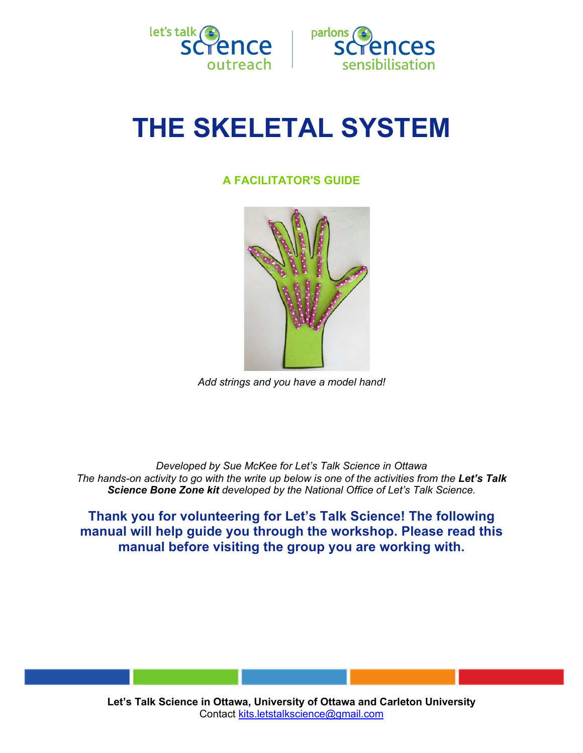



# **THE SKELETAL SYSTEM**

# **A FACILITATOR'S GUIDE**



*Add strings and you have a model hand!*

*Developed by Sue McKee for Let's Talk Science in Ottawa The hands-on activity to go with the write up below is one of the activities from the Let's Talk Science Bone Zone kit developed by the National Office of Let's Talk Science.*

**Thank you for volunteering for Let's Talk Science! The following manual will help guide you through the workshop. Please read this manual before visiting the group you are working with.**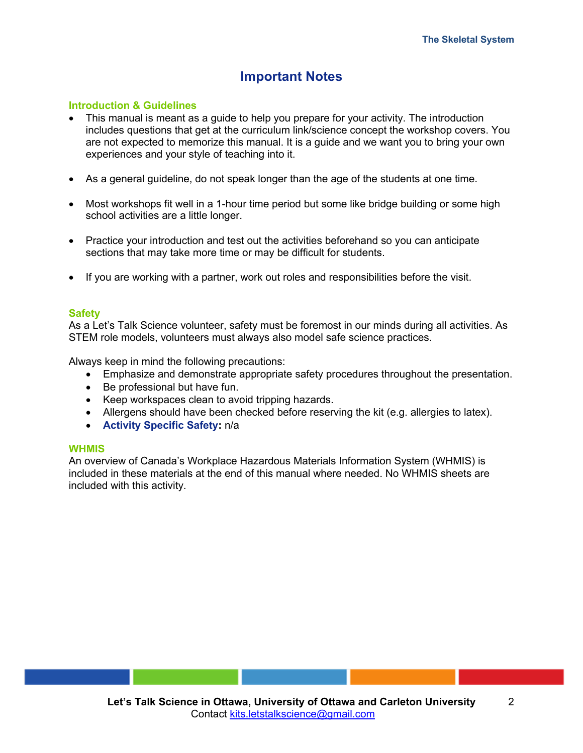# **Important Notes**

## **Introduction & Guidelines**

- This manual is meant as a guide to help you prepare for your activity. The introduction includes questions that get at the curriculum link/science concept the workshop covers. You are not expected to memorize this manual. It is a guide and we want you to bring your own experiences and your style of teaching into it.
- As a general guideline, do not speak longer than the age of the students at one time.
- Most workshops fit well in a 1-hour time period but some like bridge building or some high school activities are a little longer.
- Practice your introduction and test out the activities beforehand so you can anticipate sections that may take more time or may be difficult for students.
- If you are working with a partner, work out roles and responsibilities before the visit.

#### **Safety**

As a Let's Talk Science volunteer, safety must be foremost in our minds during all activities. As STEM role models, volunteers must always also model safe science practices.

Always keep in mind the following precautions:

- Emphasize and demonstrate appropriate safety procedures throughout the presentation.
- Be professional but have fun.
- Keep workspaces clean to avoid tripping hazards.
- Allergens should have been checked before reserving the kit (e.g. allergies to latex).
- **Activity Specific Safety:** n/a

#### **WHMIS**

An overview of Canada's Workplace Hazardous Materials Information System (WHMIS) is included in these materials at the end of this manual where needed. No WHMIS sheets are included with this activity.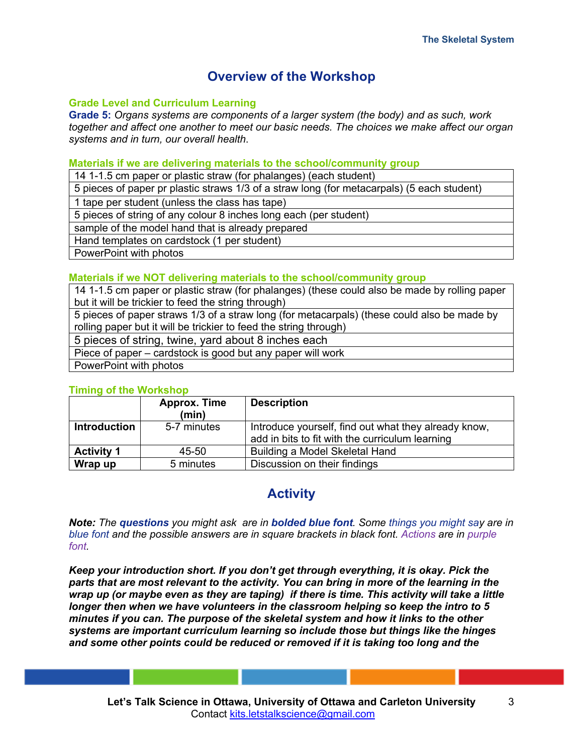# **Overview of the Workshop**

## **Grade Level and Curriculum Learning**

**Grade 5:** *Organs systems are components of a larger system (the body) and as such, work together and affect one another to meet our basic needs. The choices we make affect our organ systems and in turn, our overall health*.

#### **Materials if we are delivering materials to the school/community group**

14 1-1.5 cm paper or plastic straw (for phalanges) (each student)

5 pieces of paper pr plastic straws 1/3 of a straw long (for metacarpals) (5 each student)

1 tape per student (unless the class has tape)

5 pieces of string of any colour 8 inches long each (per student)

sample of the model hand that is already prepared

Hand templates on cardstock (1 per student)

PowerPoint with photos

# **Materials if we NOT delivering materials to the school/community group**

14 1-1.5 cm paper or plastic straw (for phalanges) (these could also be made by rolling paper but it will be trickier to feed the string through)

5 pieces of paper straws 1/3 of a straw long (for metacarpals) (these could also be made by rolling paper but it will be trickier to feed the string through)

5 pieces of string, twine, yard about 8 inches each

Piece of paper – cardstock is good but any paper will work

PowerPoint with photos

#### **Timing of the Workshop**

|                     | <b>Approx. Time</b> | <b>Description</b>                                   |
|---------------------|---------------------|------------------------------------------------------|
|                     | (min)               |                                                      |
| <b>Introduction</b> | 5-7 minutes         | Introduce yourself, find out what they already know, |
|                     |                     | add in bits to fit with the curriculum learning      |
| <b>Activity 1</b>   | 45-50               | Building a Model Skeletal Hand                       |
| Wrap up             | 5 minutes           | Discussion on their findings                         |

# **Activity**

*Note: The questions you might ask are in bolded blue font. Some things you might say are in blue font and the possible answers are in square brackets in black font. Actions are in purple font.*

*Keep your introduction short. If you don't get through everything, it is okay. Pick the parts that are most relevant to the activity. You can bring in more of the learning in the wrap up (or maybe even as they are taping) if there is time. This activity will take a little longer then when we have volunteers in the classroom helping so keep the intro to 5 minutes if you can. The purpose of the skeletal system and how it links to the other systems are important curriculum learning so include those but things like the hinges and some other points could be reduced or removed if it is taking too long and the*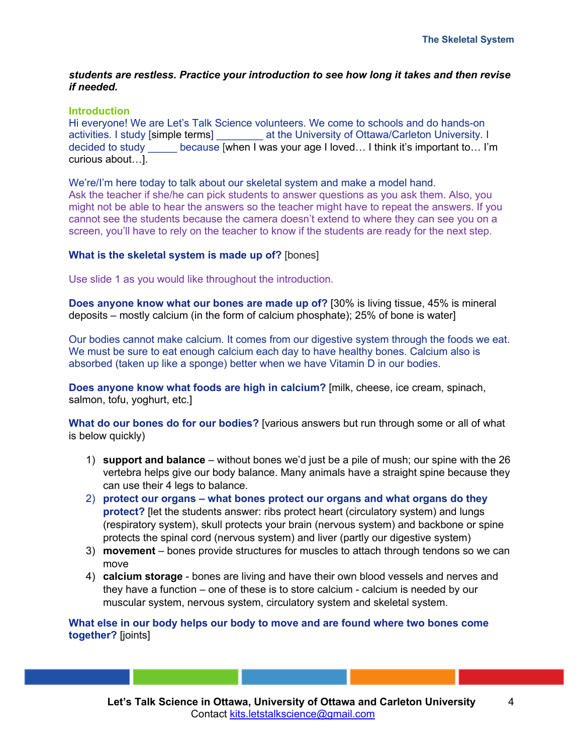### *students are restless. Practice your introduction to see how long it takes and then revise if needed.*

#### **Introduction**

Hi everyone! We are Let's Talk Science volunteers. We come to schools and do hands-on activities. I study [simple terms] \_\_\_\_\_\_\_\_ at the University of Ottawa/Carleton University. I decided to study because [when I was your age I loved... I think it's important to... I'm curious about…].

We're/I'm here today to talk about our skeletal system and make a model hand. Ask the teacher if she/he can pick students to answer questions as you ask them. Also, you might not be able to hear the answers so the teacher might have to repeat the answers. If you cannot see the students because the camera doesn't extend to where they can see you on a screen, you'll have to rely on the teacher to know if the students are ready for the next step.

## **What is the skeletal system is made up of?** [bones]

Use slide 1 as you would like throughout the introduction.

**Does anyone know what our bones are made up of?** [30% is living tissue, 45% is mineral deposits – mostly calcium (in the form of calcium phosphate); 25% of bone is water]

Our bodies cannot make calcium. It comes from our digestive system through the foods we eat. We must be sure to eat enough calcium each day to have healthy bones. Calcium also is absorbed (taken up like a sponge) better when we have Vitamin D in our bodies.

**Does anyone know what foods are high in calcium?** [milk, cheese, ice cream, spinach, salmon, tofu, yoghurt, etc.]

**What do our bones do for our bodies?** [various answers but run through some or all of what is below quickly)

- 1) **support and balance** without bones we'd just be a pile of mush; our spine with the 26 vertebra helps give our body balance. Many animals have a straight spine because they can use their 4 legs to balance.
- 2) **protect our organs – what bones protect our organs and what organs do they protect?** [let the students answer: ribs protect heart (circulatory system) and lungs (respiratory system), skull protects your brain (nervous system) and backbone or spine protects the spinal cord (nervous system) and liver (partly our digestive system)
- 3) **movement**  bones provide structures for muscles to attach through tendons so we can move
- 4) **calcium storage** bones are living and have their own blood vessels and nerves and they have a function – one of these is to store calcium - calcium is needed by our muscular system, nervous system, circulatory system and skeletal system.

**What else in our body helps our body to move and are found where two bones come together?** [joints]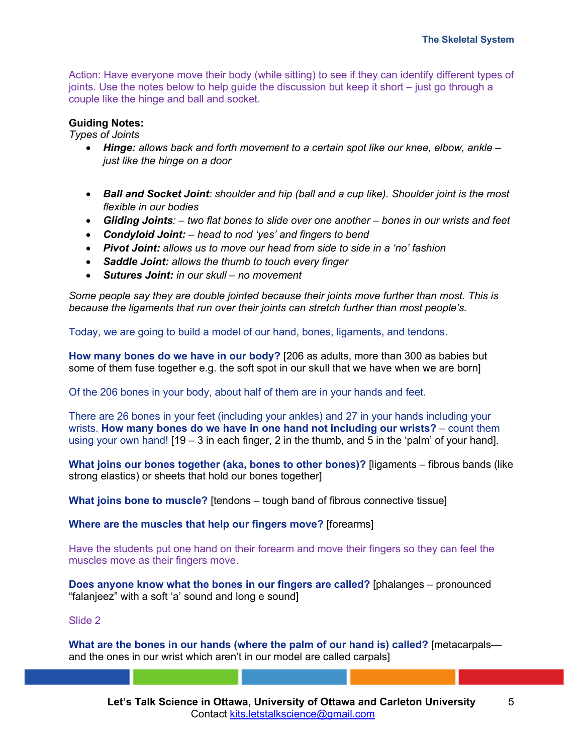Action: Have everyone move their body (while sitting) to see if they can identify different types of joints. Use the notes below to help guide the discussion but keep it short – just go through a couple like the hinge and ball and socket.

## **Guiding Notes:**

*Types of Joints*

- *Hinge: allows back and forth movement to a certain spot like our knee, elbow, ankle – just like the hinge on a door*
- *Ball and Socket Joint: shoulder and hip (ball and a cup like). Shoulder joint is the most flexible in our bodies*
- *Gliding Joints: – two flat bones to slide over one another – bones in our wrists and feet*
- *Condyloid Joint: – head to nod 'yes' and fingers to bend*
- *Pivot Joint: allows us to move our head from side to side in a 'no' fashion*
- *Saddle Joint: allows the thumb to touch every finger*
- *Sutures Joint: in our skull – no movement*

*Some people say they are double jointed because their joints move further than most. This is because the ligaments that run over their joints can stretch further than most people's.*

Today, we are going to build a model of our hand, bones, ligaments, and tendons.

**How many bones do we have in our body?** [206 as adults, more than 300 as babies but some of them fuse together e.g. the soft spot in our skull that we have when we are born]

Of the 206 bones in your body, about half of them are in your hands and feet.

There are 26 bones in your feet (including your ankles) and 27 in your hands including your wrists. **How many bones do we have in one hand not including our wrists?** – count them using your own hand!  $[19 - 3]$  in each finger, 2 in the thumb, and 5 in the 'palm' of your hand].

**What joins our bones together (aka, bones to other bones)?** [ligaments – fibrous bands (like strong elastics) or sheets that hold our bones together]

**What joins bone to muscle?** [tendons – tough band of fibrous connective tissue]

**Where are the muscles that help our fingers move?** [forearms]

Have the students put one hand on their forearm and move their fingers so they can feel the muscles move as their fingers move.

**Does anyone know what the bones in our fingers are called?** [phalanges – pronounced "falanjeez" with a soft 'a' sound and long e sound]

Slide 2

**What are the bones in our hands (where the palm of our hand is) called?** [metacarpals and the ones in our wrist which aren't in our model are called carpals]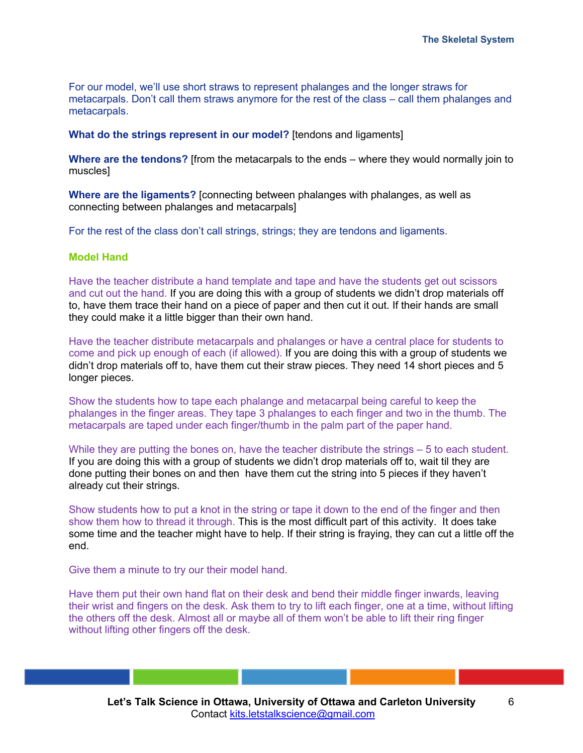For our model, we'll use short straws to represent phalanges and the longer straws for metacarpals. Don't call them straws anymore for the rest of the class – call them phalanges and metacarpals.

#### **What do the strings represent in our model?** [tendons and ligaments]

**Where are the tendons?** [from the metacarpals to the ends – where they would normally join to muscles]

**Where are the ligaments?** [connecting between phalanges with phalanges, as well as connecting between phalanges and metacarpals]

For the rest of the class don't call strings, strings; they are tendons and ligaments.

#### **Model Hand**

Have the teacher distribute a hand template and tape and have the students get out scissors and cut out the hand. If you are doing this with a group of students we didn't drop materials off to, have them trace their hand on a piece of paper and then cut it out. If their hands are small they could make it a little bigger than their own hand.

Have the teacher distribute metacarpals and phalanges or have a central place for students to come and pick up enough of each (if allowed). If you are doing this with a group of students we didn't drop materials off to, have them cut their straw pieces. They need 14 short pieces and 5 longer pieces.

Show the students how to tape each phalange and metacarpal being careful to keep the phalanges in the finger areas. They tape 3 phalanges to each finger and two in the thumb. The metacarpals are taped under each finger/thumb in the palm part of the paper hand.

While they are putting the bones on, have the teacher distribute the strings – 5 to each student. If you are doing this with a group of students we didn't drop materials off to, wait til they are done putting their bones on and then have them cut the string into 5 pieces if they haven't already cut their strings.

Show students how to put a knot in the string or tape it down to the end of the finger and then show them how to thread it through. This is the most difficult part of this activity. It does take some time and the teacher might have to help. If their string is fraying, they can cut a little off the end.

Give them a minute to try our their model hand.

Have them put their own hand flat on their desk and bend their middle finger inwards, leaving their wrist and fingers on the desk. Ask them to try to lift each finger, one at a time, without lifting the others off the desk. Almost all or maybe all of them won't be able to lift their ring finger without lifting other fingers off the desk.